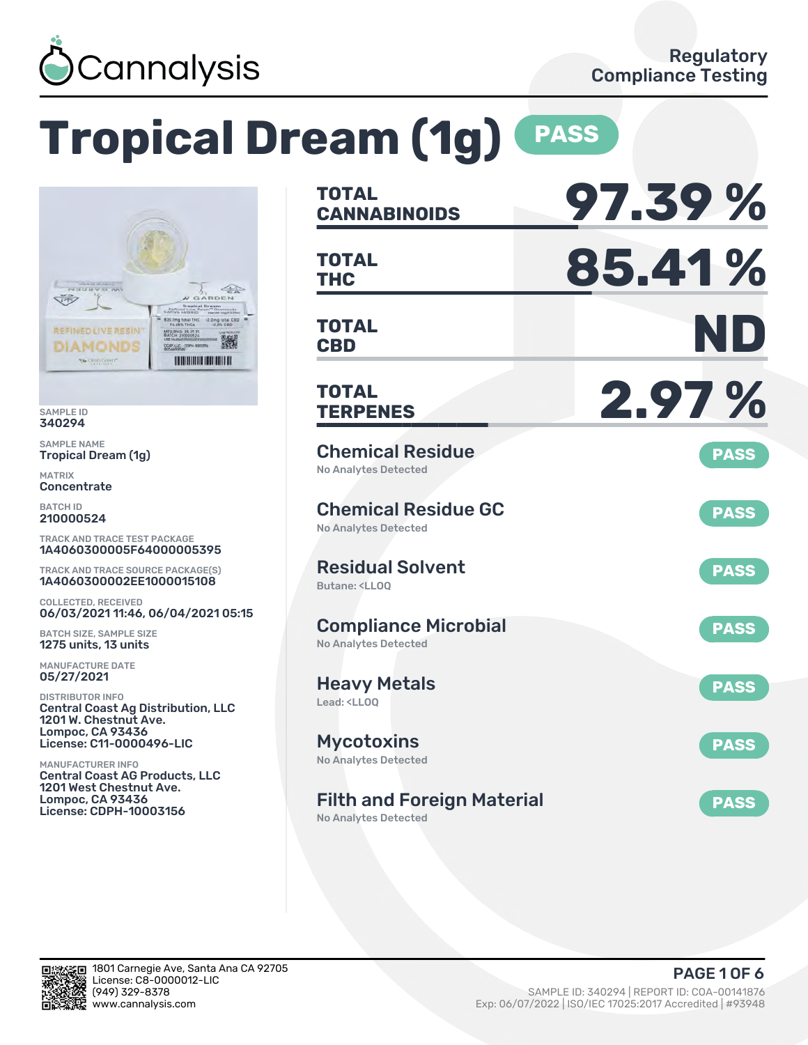

# **Tropical Dream (1g) PASS**



SAMPLE ID 340294

SAMPLE NAME Tropical Dream (1g)

MATRIX **Concentrate** 

BATCH ID 210000524

TRACK AND TRACE TEST PACKAGE 1A4060300005F64000005395

TRACK AND TRACE SOURCE PACKAGE(S) 1A4060300002EE1000015108

COLLECTED, RECEIVED 06/03/2021 11:46, 06/04/2021 05:15

BATCH SIZE, SAMPLE SIZE 1275 units, 13 units

MANUFACTURE DATE 05/27/2021

DISTRIBUTOR INFO Central Coast Ag Distribution, LLC 1201 W. Chestnut Ave. Lompoc, CA 93436 License: C11-0000496-LIC

MANUFACTURER INFO Central Coast AG Products, LLC 1201 West Chestnut Ave. Lompoc, CA 93436 License: CDPH-10003156

| <b>TOTAL</b><br><b>CANNABINOIDS</b>                                          | 97.39%      |
|------------------------------------------------------------------------------|-------------|
| <b>TOTAL</b><br>THC                                                          | 85.41%      |
| <b>TOTAL</b><br><b>CBD</b>                                                   | ND          |
| TOTAL<br><b>TERPENES</b>                                                     | 2.97%       |
| <b>Chemical Residue</b><br><b>No Analytes Detected</b>                       | <b>PASS</b> |
| <b>Chemical Residue GC</b><br><b>No Analytes Detected</b>                    | <b>PASS</b> |
| <b>Residual Solvent</b><br>Butane: <ll00< td=""><td><b>PASS</b></td></ll00<> | <b>PASS</b> |
| <b>Compliance Microbial</b><br><b>No Analytes Detected</b>                   | <b>PASS</b> |
| <b>Heavy Metals</b><br>Lead: <ll00< td=""><td><b>PASS</b></td></ll00<>       | <b>PASS</b> |
| <b>Mycotoxins</b><br>No Analytes Detected                                    | <b>PASS</b> |
| <b>Filth and Foreign Material</b><br><b>No Analytes Detected</b>             | <b>PASS</b> |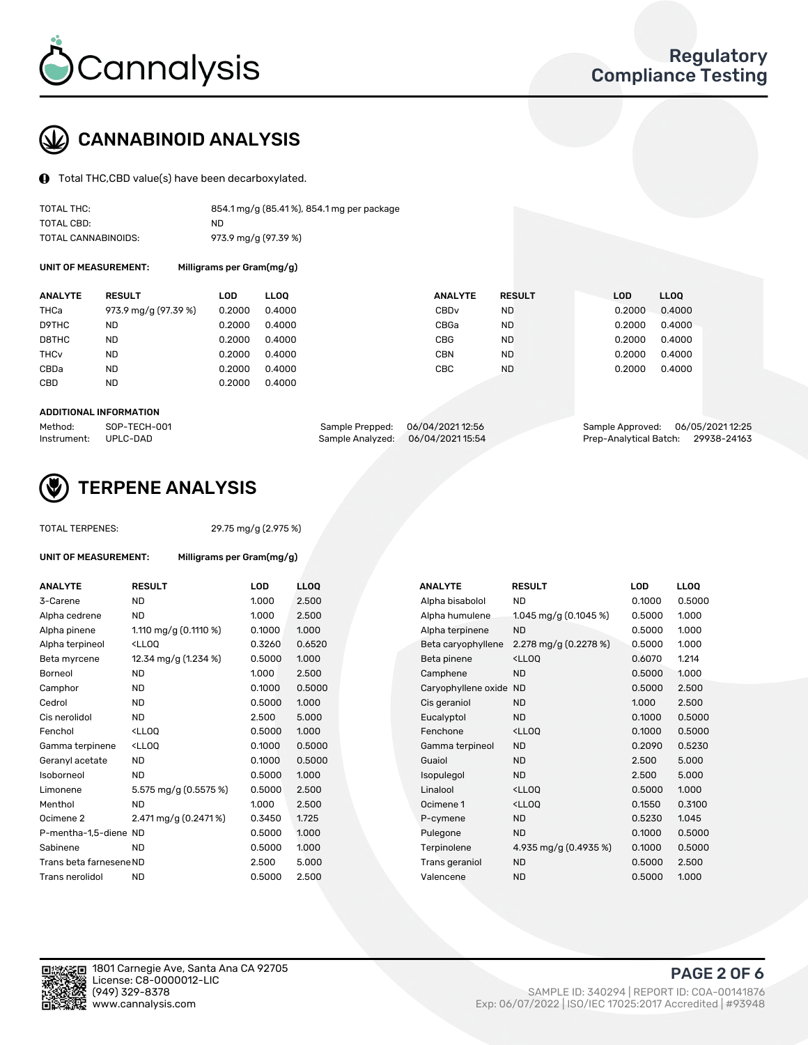

# CANNABINOID ANALYSIS

Total THC,CBD value(s) have been decarboxylated.

| TOTAL THC:          | 854.1 mg/g (85.41%), 854.1 mg per package |
|---------------------|-------------------------------------------|
| TOTAL CBD:          | ND.                                       |
| TOTAL CANNABINOIDS: | 973.9 mg/g (97.39 %)                      |

UNIT OF MEASUREMENT: Milligrams per Gram(mg/g)

| <b>ANALYTE</b>         | <b>RESULT</b>        | LOD    | <b>LLOO</b> | <b>ANALYTE</b>   | <b>RESULT</b> | <b>LOD</b> | LL <sub>00</sub> |
|------------------------|----------------------|--------|-------------|------------------|---------------|------------|------------------|
| THCa                   | 973.9 mg/g (97.39 %) | 0.2000 | 0.4000      | CBD <sub>v</sub> | <b>ND</b>     | 0.2000     | 0.4000           |
| D9THC                  | ND                   | 0.2000 | 0.4000      | CBGa             | <b>ND</b>     | 0.2000     | 0.4000           |
| D8THC                  | <b>ND</b>            | 0.2000 | 0.4000      | <b>CBG</b>       | <b>ND</b>     | 0.2000     | 0.4000           |
| <b>THC<sub>v</sub></b> | <b>ND</b>            | 0.2000 | 0.4000      | <b>CBN</b>       | <b>ND</b>     | 0.2000     | 0.4000           |
| CBDa                   | ND                   | 0.2000 | 0.4000      | CBC              | <b>ND</b>     | 0.2000     | 0.4000           |
| CBD                    | <b>ND</b>            | 0.2000 | 0.4000      |                  |               |            |                  |

#### ADDITIONAL INFORMATION

| Method:              | SOP-TECH-001 | Sample Prepped: 06/04/202112:56   | Sample Approved: 06/05/2021 12:25  |  |
|----------------------|--------------|-----------------------------------|------------------------------------|--|
| Instrument: UPLC-DAD |              | Sample Analyzed: 06/04/2021 15:54 | Prep-Analytical Batch: 29938-24163 |  |



## TERPENE ANALYSIS

| <b>TOTAL TERPENES:</b>  |                                                   | 29.75 mg/g (2.975 %)      |      |  |  |  |  |  |
|-------------------------|---------------------------------------------------|---------------------------|------|--|--|--|--|--|
| UNIT OF MEASUREMENT:    |                                                   | Milligrams per Gram(mg/g) |      |  |  |  |  |  |
| <b>ANALYTE</b>          | <b>RESULT</b>                                     | <b>LOD</b>                | LLO  |  |  |  |  |  |
| 3-Carene                | ND                                                | 1.000                     | 2.50 |  |  |  |  |  |
| Alpha cedrene           | ND.                                               | 1.000                     | 2.50 |  |  |  |  |  |
| Alpha pinene            | 1.110 mg/g $(0.1110 \%)$                          | 0.1000                    | 1.00 |  |  |  |  |  |
| Alpha terpineol         | $<$ LLOO                                          | 0.3260                    | 0.65 |  |  |  |  |  |
| Beta myrcene            | 12.34 mg/g (1.234 %)                              | 0.5000                    | 1.00 |  |  |  |  |  |
| Borneol                 | <b>ND</b>                                         | 1.000                     | 2.50 |  |  |  |  |  |
| Camphor                 | ND.                                               | 0.1000                    | 0.50 |  |  |  |  |  |
| Cedrol                  | ND.                                               | 0.5000                    | 1.00 |  |  |  |  |  |
| Cis nerolidol           | ND.                                               | 2.500                     | 5.00 |  |  |  |  |  |
| Fenchol                 | <lloo< td=""><td>0.5000</td><td>1.00</td></lloo<> | 0.5000                    | 1.00 |  |  |  |  |  |
| Gamma terpinene         | <lloo< td=""><td>0.1000</td><td>0.50</td></lloo<> | 0.1000                    | 0.50 |  |  |  |  |  |
| Geranyl acetate         | ND.                                               | 0.1000                    | 0.50 |  |  |  |  |  |
| Isoborneol              | <b>ND</b>                                         | 0.5000                    | 1.00 |  |  |  |  |  |
| Limonene                | 5.575 mg/g (0.5575 %)                             | 0.5000                    | 2.50 |  |  |  |  |  |
| Menthol                 | ND                                                | 1.000                     | 2.50 |  |  |  |  |  |
| Ocimene 2               | 2.471 mg/g (0.2471 %)                             | 0.3450                    | 1.72 |  |  |  |  |  |
| P-mentha-1,5-diene ND   |                                                   | 0.5000                    | 1.00 |  |  |  |  |  |
| Sabinene                | ND                                                | 0.5000                    | 1.00 |  |  |  |  |  |
| Trans beta farnesene ND |                                                   | 2.500                     | 5.00 |  |  |  |  |  |
| Trans nerolidol         | ND                                                | 0.5000                    | 2.50 |  |  |  |  |  |
|                         |                                                   |                           |      |  |  |  |  |  |

| <b>ANALYTE</b>          | <b>RESULT</b>                                       | LOD    | <b>LLOQ</b> |
|-------------------------|-----------------------------------------------------|--------|-------------|
| 3-Carene                | <b>ND</b>                                           | 1.000  | 2.500       |
| Alpha cedrene           | <b>ND</b>                                           | 1.000  | 2.500       |
| Alpha pinene            | 1.110 mg/g $(0.1110 \%)$                            | 0.1000 | 1.000       |
| Alpha terpineol         | <lloq< td=""><td>0.3260</td><td>0.6520</td></lloq<> | 0.3260 | 0.6520      |
| Beta myrcene            | 12.34 mg/g (1.234 %)                                | 0.5000 | 1.000       |
| Borneol                 | <b>ND</b>                                           | 1.000  | 2.500       |
| Camphor                 | <b>ND</b>                                           | 0.1000 | 0.5000      |
| Cedrol                  | ND.                                                 | 0.5000 | 1.000       |
| Cis nerolidol           | <b>ND</b>                                           | 2.500  | 5.000       |
| Fenchol                 | <lloq< td=""><td>0.5000</td><td>1.000</td></lloq<>  | 0.5000 | 1.000       |
| Gamma terpinene         | <ll0q< td=""><td>0.1000</td><td>0.5000</td></ll0q<> | 0.1000 | 0.5000      |
| Geranyl acetate         | <b>ND</b>                                           | 0.1000 | 0.5000      |
| Isoborneol              | <b>ND</b>                                           | 0.5000 | 1.000       |
| Limonene                | 5.575 mg/g (0.5575 %)                               | 0.5000 | 2.500       |
| Menthol                 | <b>ND</b>                                           | 1.000  | 2.500       |
| Ocimene 2               | 2.471 mg/g (0.2471 %)                               | 0.3450 | 1.725       |
| P-mentha-1,5-diene ND   |                                                     | 0.5000 | 1.000       |
| Sabinene                | <b>ND</b>                                           | 0.5000 | 1.000       |
| Trans beta farnesene ND |                                                     | 2.500  | 5.000       |
| Trans nerolidol         | <b>ND</b>                                           | 0.5000 | 2.500       |
|                         |                                                     |        |             |

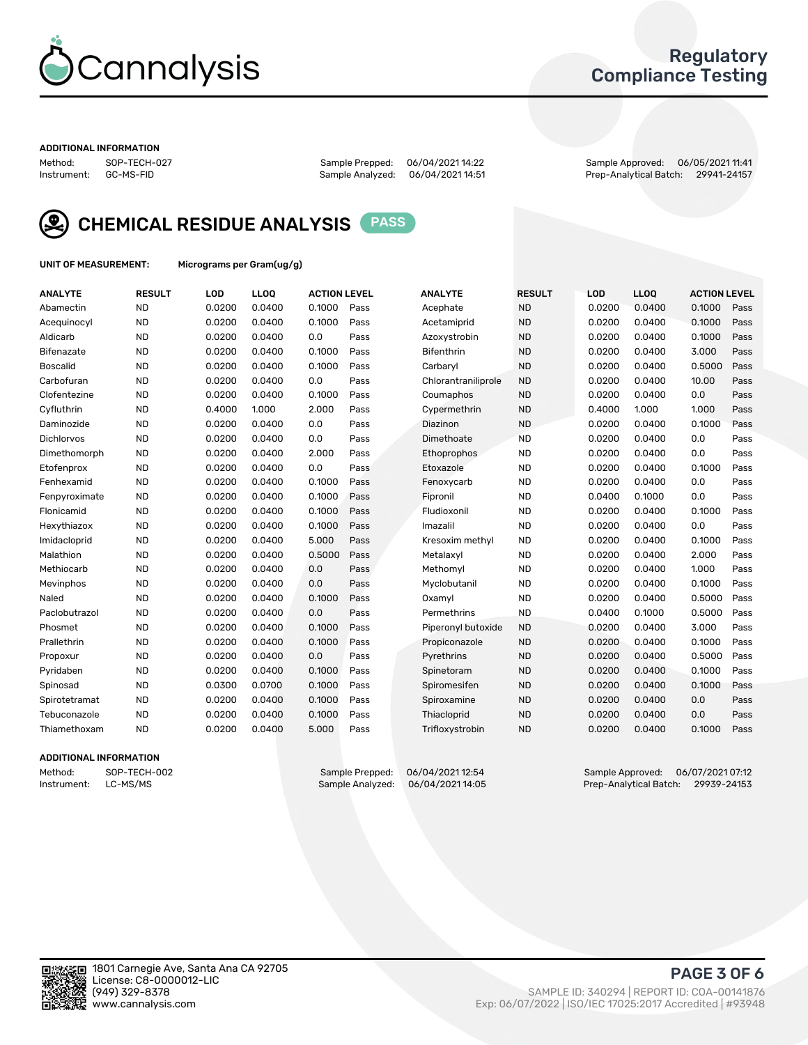

## Regulatory Compliance Testing

#### ADDITIONAL INFORMATION

Sample Analyzed: 06/04/2021 14:51

Method: SOP-TECH-027 Sample Prepped: 06/04/2021 14:22 Sample Approved: 06/05/2021 11:41



CHEMICAL RESIDUE ANALYSIS PASS

UNIT OF MEASUREMENT: Micrograms per Gram(ug/g)

| <b>ANALYTE</b>    | <b>RESULT</b> | LOD    | LL <sub>OO</sub> | <b>ACTION LEVEL</b> |      | <b>ANALYTE</b>      | <b>RESULT</b> | <b>LOD</b> | <b>LLOO</b> | <b>ACTION LEVEL</b> |      |
|-------------------|---------------|--------|------------------|---------------------|------|---------------------|---------------|------------|-------------|---------------------|------|
| Abamectin         | <b>ND</b>     | 0.0200 | 0.0400           | 0.1000              | Pass | Acephate            | <b>ND</b>     | 0.0200     | 0.0400      | 0.1000              | Pass |
| Acequinocyl       | <b>ND</b>     | 0.0200 | 0.0400           | 0.1000              | Pass | Acetamiprid         | <b>ND</b>     | 0.0200     | 0.0400      | 0.1000              | Pass |
| Aldicarb          | <b>ND</b>     | 0.0200 | 0.0400           | 0.0                 | Pass | Azoxystrobin        | <b>ND</b>     | 0.0200     | 0.0400      | 0.1000              | Pass |
| Bifenazate        | <b>ND</b>     | 0.0200 | 0.0400           | 0.1000              | Pass | <b>Bifenthrin</b>   | <b>ND</b>     | 0.0200     | 0.0400      | 3.000               | Pass |
| <b>Boscalid</b>   | <b>ND</b>     | 0.0200 | 0.0400           | 0.1000              | Pass | Carbaryl            | <b>ND</b>     | 0.0200     | 0.0400      | 0.5000              | Pass |
| Carbofuran        | <b>ND</b>     | 0.0200 | 0.0400           | 0.0                 | Pass | Chlorantraniliprole | <b>ND</b>     | 0.0200     | 0.0400      | 10.00               | Pass |
| Clofentezine      | <b>ND</b>     | 0.0200 | 0.0400           | 0.1000              | Pass | Coumaphos           | <b>ND</b>     | 0.0200     | 0.0400      | 0.0                 | Pass |
| Cyfluthrin        | <b>ND</b>     | 0.4000 | 1.000            | 2.000               | Pass | Cypermethrin        | <b>ND</b>     | 0.4000     | 1.000       | 1.000               | Pass |
| Daminozide        | <b>ND</b>     | 0.0200 | 0.0400           | 0.0                 | Pass | Diazinon            | <b>ND</b>     | 0.0200     | 0.0400      | 0.1000              | Pass |
| <b>Dichlorvos</b> | <b>ND</b>     | 0.0200 | 0.0400           | 0.0                 | Pass | Dimethoate          | <b>ND</b>     | 0.0200     | 0.0400      | 0.0                 | Pass |
| Dimethomorph      | <b>ND</b>     | 0.0200 | 0.0400           | 2.000               | Pass | Ethoprophos         | <b>ND</b>     | 0.0200     | 0.0400      | 0.0                 | Pass |
| Etofenprox        | <b>ND</b>     | 0.0200 | 0.0400           | 0.0                 | Pass | Etoxazole           | <b>ND</b>     | 0.0200     | 0.0400      | 0.1000              | Pass |
| Fenhexamid        | <b>ND</b>     | 0.0200 | 0.0400           | 0.1000              | Pass | Fenoxycarb          | <b>ND</b>     | 0.0200     | 0.0400      | 0.0                 | Pass |
| Fenpyroximate     | <b>ND</b>     | 0.0200 | 0.0400           | 0.1000              | Pass | Fipronil            | <b>ND</b>     | 0.0400     | 0.1000      | 0.0                 | Pass |
| Flonicamid        | <b>ND</b>     | 0.0200 | 0.0400           | 0.1000              | Pass | Fludioxonil         | <b>ND</b>     | 0.0200     | 0.0400      | 0.1000              | Pass |
| Hexythiazox       | <b>ND</b>     | 0.0200 | 0.0400           | 0.1000              | Pass | Imazalil            | <b>ND</b>     | 0.0200     | 0.0400      | 0.0                 | Pass |
| Imidacloprid      | <b>ND</b>     | 0.0200 | 0.0400           | 5.000               | Pass | Kresoxim methyl     | <b>ND</b>     | 0.0200     | 0.0400      | 0.1000              | Pass |
| Malathion         | <b>ND</b>     | 0.0200 | 0.0400           | 0.5000              | Pass | Metalaxyl           | <b>ND</b>     | 0.0200     | 0.0400      | 2.000               | Pass |
| Methiocarb        | <b>ND</b>     | 0.0200 | 0.0400           | 0.0                 | Pass | Methomyl            | <b>ND</b>     | 0.0200     | 0.0400      | 1.000               | Pass |
| Mevinphos         | <b>ND</b>     | 0.0200 | 0.0400           | 0.0                 | Pass | Myclobutanil        | <b>ND</b>     | 0.0200     | 0.0400      | 0.1000              | Pass |
| Naled             | <b>ND</b>     | 0.0200 | 0.0400           | 0.1000              | Pass | Oxamyl              | <b>ND</b>     | 0.0200     | 0.0400      | 0.5000              | Pass |
| Paclobutrazol     | <b>ND</b>     | 0.0200 | 0.0400           | 0.0                 | Pass | Permethrins         | <b>ND</b>     | 0.0400     | 0.1000      | 0.5000              | Pass |
| Phosmet           | <b>ND</b>     | 0.0200 | 0.0400           | 0.1000              | Pass | Piperonyl butoxide  | <b>ND</b>     | 0.0200     | 0.0400      | 3.000               | Pass |
| Prallethrin       | <b>ND</b>     | 0.0200 | 0.0400           | 0.1000              | Pass | Propiconazole       | <b>ND</b>     | 0.0200     | 0.0400      | 0.1000              | Pass |
| Propoxur          | <b>ND</b>     | 0.0200 | 0.0400           | 0.0                 | Pass | Pyrethrins          | <b>ND</b>     | 0.0200     | 0.0400      | 0.5000              | Pass |
| Pyridaben         | <b>ND</b>     | 0.0200 | 0.0400           | 0.1000              | Pass | Spinetoram          | <b>ND</b>     | 0.0200     | 0.0400      | 0.1000              | Pass |
| Spinosad          | <b>ND</b>     | 0.0300 | 0.0700           | 0.1000              | Pass | Spiromesifen        | <b>ND</b>     | 0.0200     | 0.0400      | 0.1000              | Pass |
| Spirotetramat     | <b>ND</b>     | 0.0200 | 0.0400           | 0.1000              | Pass | Spiroxamine         | <b>ND</b>     | 0.0200     | 0.0400      | 0.0                 | Pass |
| Tebuconazole      | <b>ND</b>     | 0.0200 | 0.0400           | 0.1000              | Pass | Thiacloprid         | <b>ND</b>     | 0.0200     | 0.0400      | 0.0                 | Pass |
| Thiamethoxam      | <b>ND</b>     | 0.0200 | 0.0400           | 5.000               | Pass | Trifloxystrobin     | <b>ND</b>     | 0.0200     | 0.0400      | 0.1000              | Pass |

## ADDITIONAL INFORMATION

Method: SOP-TECH-002 Sample Prepped: 06/04/2021 12:54 Sample Approved: 06/07/2021 07:12<br>Sample Analyzed: 06/04/2021 14:05 Prep-Analytical Batch: 29939-24153 Prep-Analytical Batch: 29939-24153

PAGE 3 OF 6

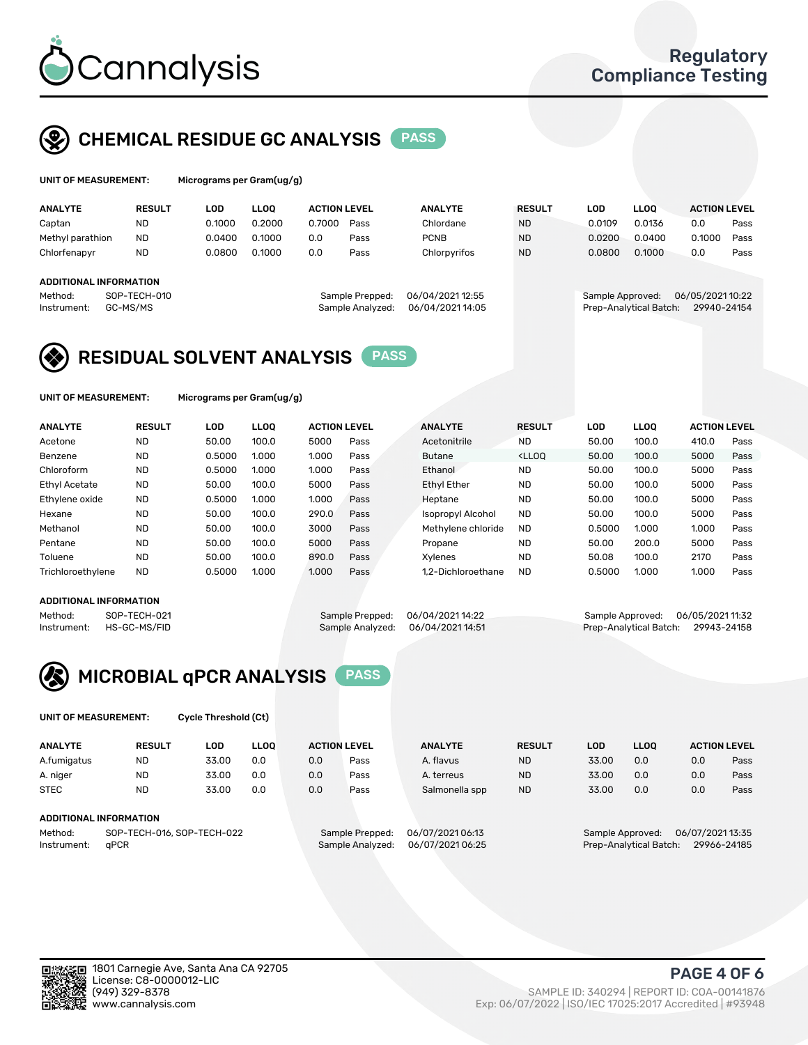

## CHEMICAL RESIDUE GC ANALYSIS PASS

Micrograms per Gram(ug/g)

| <b>ANALYTE</b>         |              | LOD<br><b>RESULT</b> |        | <b>LLOO</b> | <b>ACTION LEVEL</b> |                  | <b>ANALYTE</b>  | <b>RESULT</b> | <b>LOD</b>       | <b>LLOO</b>            | <b>ACTION LEVEL</b> |      |
|------------------------|--------------|----------------------|--------|-------------|---------------------|------------------|-----------------|---------------|------------------|------------------------|---------------------|------|
| Captan                 | <b>ND</b>    |                      | 0.1000 | 0.2000      | 0.7000              | Pass             | Chlordane       | <b>ND</b>     | 0.0109           | 0.0136                 | 0.0                 | Pass |
| Methyl parathion       | <b>ND</b>    |                      | 0.0400 | 0.1000      | 0.0                 | Pass             | <b>PCNB</b>     | <b>ND</b>     | 0.0200           | 0.0400                 | 0.1000              | Pass |
| Chlorfenapyr           | <b>ND</b>    |                      | 0.0800 | 0.1000      | 0.0                 | Pass             | Chlorpyrifos    | <b>ND</b>     | 0.0800           | 0.1000                 | 0.0                 | Pass |
|                        |              |                      |        |             |                     |                  |                 |               |                  |                        |                     |      |
| ADDITIONAL INFORMATION |              |                      |        |             |                     |                  |                 |               |                  |                        |                     |      |
| Method:                | SOP-TECH-010 |                      |        |             |                     | Sample Prepped:  | 06/04/202112:55 |               | Sample Approved: |                        | 06/05/2021 10:22    |      |
| Instrument:            | GC-MS/MS     |                      |        |             |                     | Sample Analyzed: | 06/04/202114:05 |               |                  | Prep-Analytical Batch: | 29940-24154         |      |
|                        |              |                      |        |             |                     |                  |                 |               |                  |                        |                     |      |

## RESIDUAL SOLVENT ANALYSIS PASS

UNIT OF MEASUREMENT: Micrograms per Gram(ug/g)

| <b>ANALYTE</b>       | <b>RESULT</b> | LOD    | <b>LLOO</b> |       | <b>ACTION LEVEL</b> | <b>ANALYTE</b>     | <b>RESULT</b>                                                               | LOD    | LLOO  | <b>ACTION LEVEL</b> |      |
|----------------------|---------------|--------|-------------|-------|---------------------|--------------------|-----------------------------------------------------------------------------|--------|-------|---------------------|------|
| Acetone              | <b>ND</b>     | 50.00  | 100.0       | 5000  | Pass                | Acetonitrile       | <b>ND</b>                                                                   | 50.00  | 100.0 | 410.0               | Pass |
| Benzene              | <b>ND</b>     | 0.5000 | 1.000       | 1.000 | Pass                | <b>Butane</b>      | <lloo< td=""><td>50.00</td><td>100.0</td><td>5000</td><td>Pass</td></lloo<> | 50.00  | 100.0 | 5000                | Pass |
| Chloroform           | <b>ND</b>     | 0.5000 | 1.000       | 1.000 | Pass                | Ethanol            | <b>ND</b>                                                                   | 50.00  | 100.0 | 5000                | Pass |
| <b>Ethyl Acetate</b> | <b>ND</b>     | 50.00  | 100.0       | 5000  | Pass                | <b>Ethyl Ether</b> | <b>ND</b>                                                                   | 50.00  | 100.0 | 5000                | Pass |
| Ethylene oxide       | <b>ND</b>     | 0.5000 | 1.000       | 1.000 | Pass                | Heptane            | <b>ND</b>                                                                   | 50.00  | 100.0 | 5000                | Pass |
| Hexane               | <b>ND</b>     | 50.00  | 100.0       | 290.0 | Pass                | Isopropyl Alcohol  | <b>ND</b>                                                                   | 50.00  | 100.0 | 5000                | Pass |
| Methanol             | <b>ND</b>     | 50.00  | 100.0       | 3000  | Pass                | Methylene chloride | <b>ND</b>                                                                   | 0.5000 | 1.000 | 1.000               | Pass |
| Pentane              | <b>ND</b>     | 50.00  | 100.0       | 5000  | Pass                | Propane            | <b>ND</b>                                                                   | 50.00  | 200.0 | 5000                | Pass |
| Toluene              | <b>ND</b>     | 50.00  | 100.0       | 890.0 | Pass                | Xvlenes            | <b>ND</b>                                                                   | 50.08  | 100.0 | 2170                | Pass |
| Trichloroethylene    | <b>ND</b>     | 0.5000 | 1.000       | 1.000 | Pass                | 1.2-Dichloroethane | <b>ND</b>                                                                   | 0.5000 | 1.000 | 1.000               | Pass |

## ADDITIONAL INFORMATION

Method: SOP-TECH-021 Sample Prepped: 06/04/2021 14:22 Sample Approved: 06/05/2021 11:32<br>Instrument: HS-GC-MS/FID Sample Analyzed: 06/04/2021 14:51 Prep-Analytical Batch: 29943-24158 Prep-Analytical Batch: 29943-24158



UNIT OF MEASUREMENT: Cycle Threshold (Ct)

| <b>ANALYTE</b> | <b>RESULT</b>              | LOD   | <b>LLOO</b> | <b>ACTION LEVEL</b> |                  | <b>ANALYTE</b> | <b>RESULT</b> | LOD              | <b>LLOO</b>      |     | <b>ACTION LEVEL</b> |
|----------------|----------------------------|-------|-------------|---------------------|------------------|----------------|---------------|------------------|------------------|-----|---------------------|
| A.fumigatus    | <b>ND</b>                  | 33.00 | 0.0         | 0.0                 | Pass             | A. flavus      | <b>ND</b>     | 33.00            | 0.0              | 0.0 | Pass                |
| A. niger       | <b>ND</b>                  | 33.00 | 0.0         | 0.0                 | Pass             | A. terreus     | <b>ND</b>     | 33.00            | 0.0              | 0.0 | Pass                |
| <b>STEC</b>    | <b>ND</b>                  | 33.00 | 0.0         | 0.0                 | Pass             | Salmonella spp | <b>ND</b>     | 33.00            | 0.0              | 0.0 | Pass                |
|                | ADDITIONAL INFORMATION     |       |             |                     |                  |                |               |                  |                  |     |                     |
| Method:        | SOP-TECH-016, SOP-TECH-022 |       |             | Sample Prepped:     | 06/07/2021 06:13 |                |               | Sample Approved: | 06/07/2021 13:35 |     |                     |

Instrument: qPCR Sample Analyzed: 06/07/2021 06:25 Prep-Analytical Batch: 29966-24185

PAGE 4 OF 6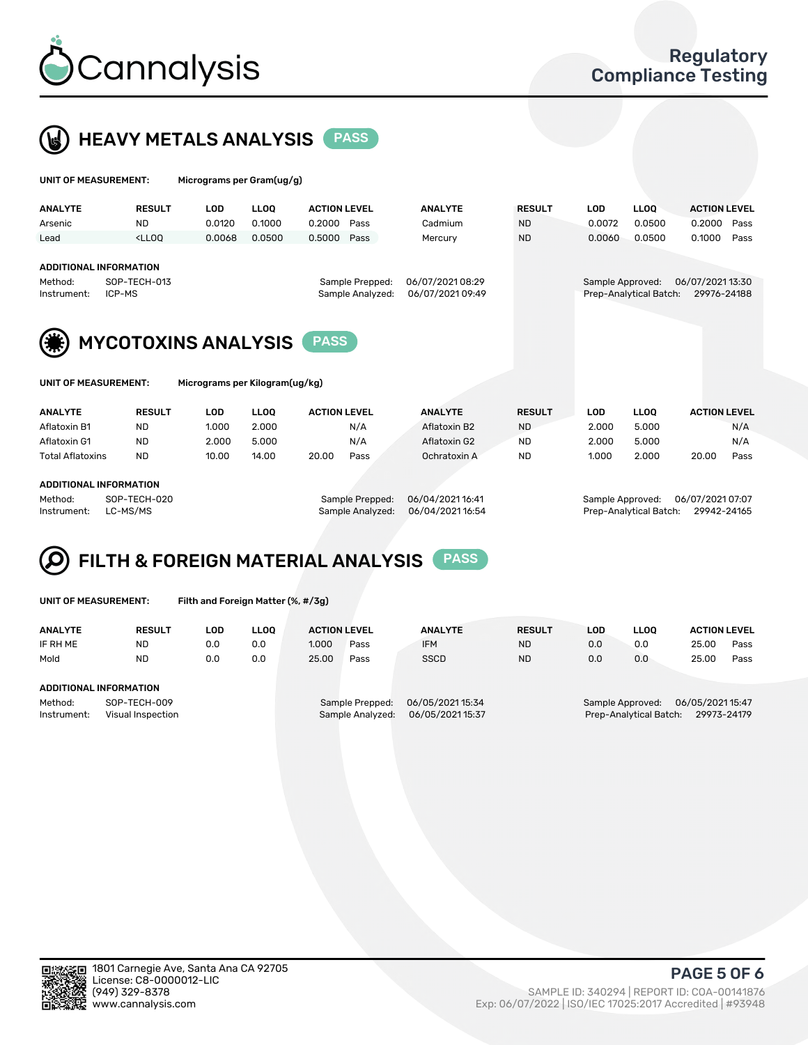



| UNIT OF MEASUREMENT:                                              |                                           | Micrograms per Gram(ug/g)      |             |                                     |                                      |               |                  |                        |                                 |  |  |
|-------------------------------------------------------------------|-------------------------------------------|--------------------------------|-------------|-------------------------------------|--------------------------------------|---------------|------------------|------------------------|---------------------------------|--|--|
| <b>ANALYTE</b>                                                    | <b>RESULT</b>                             | <b>LOD</b>                     | <b>LLOO</b> | <b>ACTION LEVEL</b>                 | <b>ANALYTE</b>                       | <b>RESULT</b> | <b>LOD</b>       | <b>LLOQ</b>            | <b>ACTION LEVEL</b>             |  |  |
| Arsenic                                                           | <b>ND</b>                                 | 0.0120                         | 0.1000      | 0.2000<br>Pass                      | Cadmium                              | <b>ND</b>     | 0.0072           | 0.0500                 | 0.2000<br>Pass                  |  |  |
| Lead                                                              | $<$ LLOO                                  | 0.0068                         | 0.0500      | 0.5000<br>Pass                      | Mercury                              | <b>ND</b>     | 0.0060           | 0.0500                 | 0.1000<br>Pass                  |  |  |
| <b>ADDITIONAL INFORMATION</b><br>Method:<br>ICP-MS<br>Instrument: | SOP-TECH-013                              |                                |             | Sample Prepped:<br>Sample Analyzed: | 06/07/2021 08:29<br>06/07/2021 09:49 |               | Sample Approved: | Prep-Analytical Batch: | 06/07/2021 13:30<br>29976-24188 |  |  |
|                                                                   | <b>MYCOTOXINS ANALYSIS</b><br><b>PASS</b> |                                |             |                                     |                                      |               |                  |                        |                                 |  |  |
| UNIT OF MEASUREMENT:                                              |                                           | Micrograms per Kilogram(ug/kg) |             |                                     |                                      |               |                  |                        |                                 |  |  |
| <b>ANALYTE</b>                                                    | <b>RESULT</b>                             | <b>LOD</b>                     | <b>LLOO</b> | <b>ACTION LEVEL</b>                 | <b>ANALYTE</b>                       | <b>RESULT</b> | LOD              | <b>LLOQ</b>            | <b>ACTION LEVEL</b>             |  |  |
| Aflatoxin B1                                                      | <b>ND</b>                                 | 1.000                          | 2.000       | N/A                                 | Aflatoxin B2                         | <b>ND</b>     | 2.000            | 5.000                  | N/A                             |  |  |
| Aflatoxin G1                                                      | <b>ND</b>                                 | 2.000                          | 5.000       | N/A                                 | Aflatoxin G2                         | <b>ND</b>     | 2.000            | 5.000                  | N/A                             |  |  |
| <b>Total Aflatoxins</b>                                           | <b>ND</b>                                 | 10.00                          | 14.00       | 20.00<br>Pass                       | Ochratoxin A                         | ND.           | 1.000            | 2.000                  | Pass<br>20.00                   |  |  |
| ADDITIONAL INFORMATION                                            |                                           |                                |             |                                     |                                      |               |                  |                        |                                 |  |  |

#### ADDITIONAL INFORMATION

Method: SOP-TECH-020 Sample Prepped: 06/04/2021 16:41 Sample Approved: 06/07/2021 07:07 Instrument: LC-MS/MS Sample Analyzed: 06/04/2021 16:54 Prep-Analytical Batch: 29942-24165

#### FILTH & FOREIGN MATERIAL ANALYSIS PASS Q

UNIT OF MEASUREMENT: Filth and Foreign Matter (%, #/3g)

| <b>ANALYTE</b>                                              | <b>RESULT</b> | LOD | <b>LLOO</b> | <b>ACTION LEVEL</b> |                                     | <b>ANALYTE</b>                     | <b>RESULT</b> | LOD | <b>LLOO</b> | <b>ACTION LEVEL</b>                                                          |      |  |  |
|-------------------------------------------------------------|---------------|-----|-------------|---------------------|-------------------------------------|------------------------------------|---------------|-----|-------------|------------------------------------------------------------------------------|------|--|--|
| IF RH ME                                                    | <b>ND</b>     | 0.0 | 0.0         | 1.000               | Pass                                | <b>IFM</b>                         | <b>ND</b>     | 0.0 | 0.0         | 25.00                                                                        | Pass |  |  |
| Mold                                                        | <b>ND</b>     | 0.0 | 0.0         | 25.00               | Pass                                | <b>SSCD</b>                        | <b>ND</b>     | 0.0 | 0.0         | 25.00                                                                        | Pass |  |  |
| ADDITIONAL INFORMATION                                      |               |     |             |                     |                                     |                                    |               |     |             |                                                                              |      |  |  |
| SOP-TECH-009<br>Method:<br>Instrument:<br>Visual Inspection |               |     |             |                     | Sample Prepped:<br>Sample Analyzed: | 06/05/202115:34<br>06/05/202115:37 |               |     |             | 06/05/202115:47<br>Sample Approved:<br>Prep-Analytical Batch:<br>29973-24179 |      |  |  |



PAGE 5 OF 6